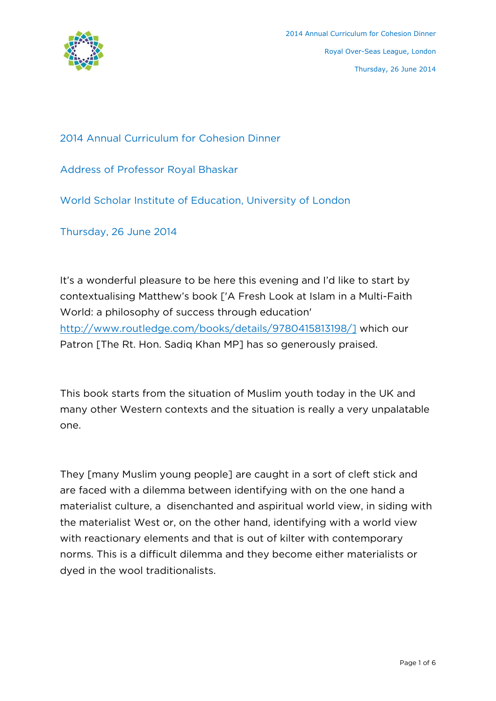

2014 Annual Curriculum for Cohesion Dinner

Address of Professor Royal Bhaskar

World Scholar Institute of Education, University of London

Thursday, 26 June 2014

It's a wonderful pleasure to be here this evening and I'd like to start by contextualising Matthew's book ['A Fresh Look at Islam in a Multi-Faith World: a philosophy of success through education' http://www.routledge.com/books/details/9780415813198/] which our Patron [The Rt. Hon. Sadiq Khan MP] has so generously praised.

This book starts from the situation of Muslim youth today in the UK and many other Western contexts and the situation is really a very unpalatable one.

They [many Muslim young people] are caught in a sort of cleft stick and are faced with a dilemma between identifying with on the one hand a materialist culture, a disenchanted and aspiritual world view, in siding with the materialist West or, on the other hand, identifying with a world view with reactionary elements and that is out of kilter with contemporary norms. This is a difficult dilemma and they become either materialists or dyed in the wool traditionalists.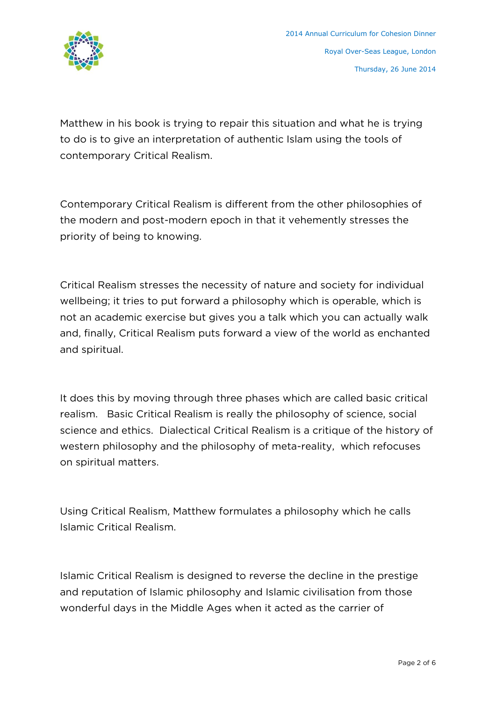

Matthew in his book is trying to repair this situation and what he is trying to do is to give an interpretation of authentic Islam using the tools of contemporary Critical Realism.

Contemporary Critical Realism is different from the other philosophies of the modern and post-modern epoch in that it vehemently stresses the priority of being to knowing.

Critical Realism stresses the necessity of nature and society for individual wellbeing; it tries to put forward a philosophy which is operable, which is not an academic exercise but gives you a talk which you can actually walk and, finally, Critical Realism puts forward a view of the world as enchanted and spiritual.

It does this by moving through three phases which are called basic critical realism. Basic Critical Realism is really the philosophy of science, social science and ethics. Dialectical Critical Realism is a critique of the history of western philosophy and the philosophy of meta-reality, which refocuses on spiritual matters.

Using Critical Realism, Matthew formulates a philosophy which he calls Islamic Critical Realism.

Islamic Critical Realism is designed to reverse the decline in the prestige and reputation of Islamic philosophy and Islamic civilisation from those wonderful days in the Middle Ages when it acted as the carrier of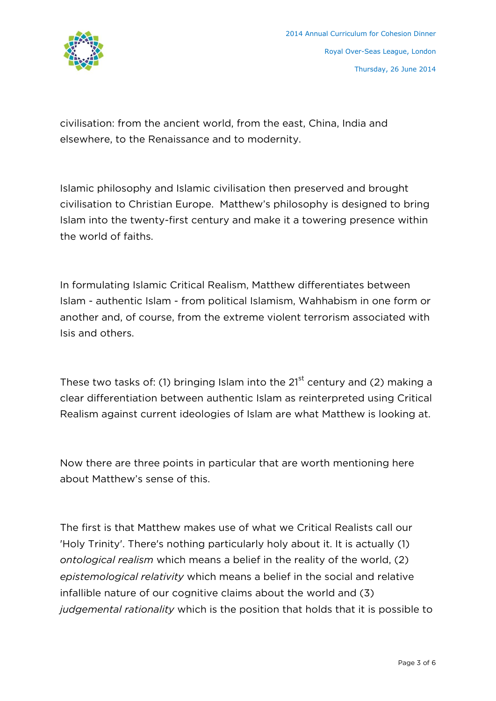

civilisation: from the ancient world, from the east, China, India and elsewhere, to the Renaissance and to modernity.

Islamic philosophy and Islamic civilisation then preserved and brought civilisation to Christian Europe. Matthew's philosophy is designed to bring Islam into the twenty-first century and make it a towering presence within the world of faiths.

In formulating Islamic Critical Realism, Matthew differentiates between Islam - authentic Islam - from political Islamism, Wahhabism in one form or another and, of course, from the extreme violent terrorism associated with Isis and others.

These two tasks of: (1) bringing Islam into the  $21<sup>st</sup>$  century and (2) making a clear differentiation between authentic Islam as reinterpreted using Critical Realism against current ideologies of Islam are what Matthew is looking at.

Now there are three points in particular that are worth mentioning here about Matthew's sense of this.

The first is that Matthew makes use of what we Critical Realists call our 'Holy Trinity'. There's nothing particularly holy about it. It is actually (1) *ontological realism* which means a belief in the reality of the world, (2) *epistemological relativity* which means a belief in the social and relative infallible nature of our cognitive claims about the world and (3) *judgemental rationality* which is the position that holds that it is possible to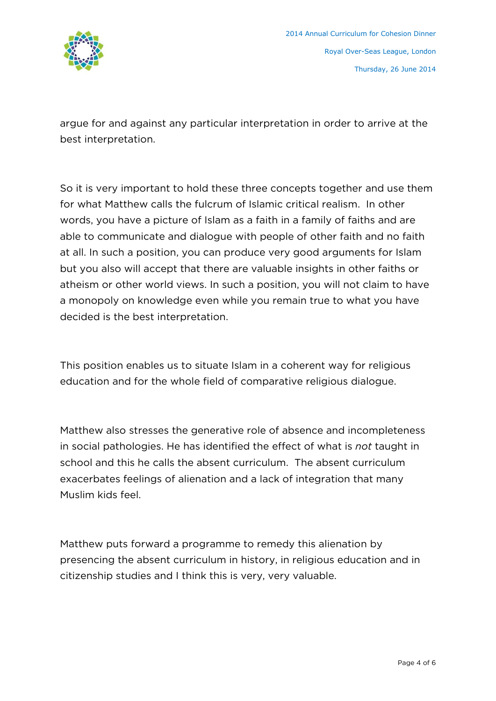

argue for and against any particular interpretation in order to arrive at the best interpretation.

So it is very important to hold these three concepts together and use them for what Matthew calls the fulcrum of Islamic critical realism. In other words, you have a picture of Islam as a faith in a family of faiths and are able to communicate and dialogue with people of other faith and no faith at all. In such a position, you can produce very good arguments for Islam but you also will accept that there are valuable insights in other faiths or atheism or other world views. In such a position, you will not claim to have a monopoly on knowledge even while you remain true to what you have decided is the best interpretation.

This position enables us to situate Islam in a coherent way for religious education and for the whole field of comparative religious dialogue.

Matthew also stresses the generative role of absence and incompleteness in social pathologies. He has identified the effect of what is *not* taught in school and this he calls the absent curriculum. The absent curriculum exacerbates feelings of alienation and a lack of integration that many Muslim kids feel.

Matthew puts forward a programme to remedy this alienation by presencing the absent curriculum in history, in religious education and in citizenship studies and I think this is very, very valuable.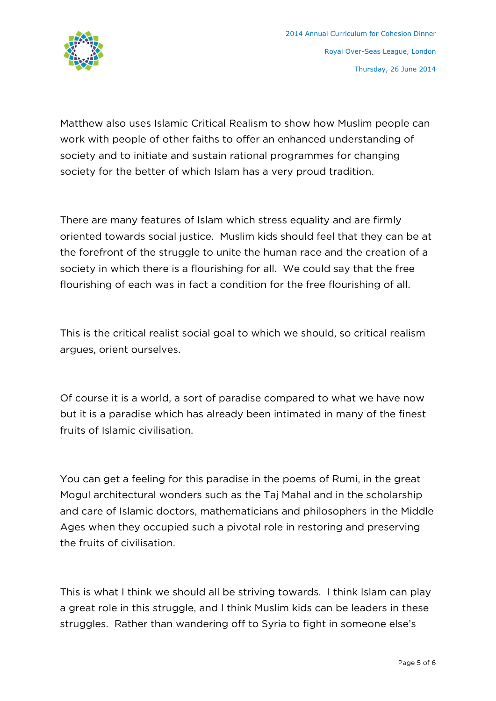

Matthew also uses Islamic Critical Realism to show how Muslim people can work with people of other faiths to offer an enhanced understanding of society and to initiate and sustain rational programmes for changing society for the better of which Islam has a very proud tradition.

There are many features of Islam which stress equality and are firmly oriented towards social justice. Muslim kids should feel that they can be at the forefront of the struggle to unite the human race and the creation of a society in which there is a flourishing for all. We could say that the free flourishing of each was in fact a condition for the free flourishing of all.

This is the critical realist social goal to which we should, so critical realism argues, orient ourselves.

Of course it is a world, a sort of paradise compared to what we have now but it is a paradise which has already been intimated in many of the finest fruits of Islamic civilisation.

You can get a feeling for this paradise in the poems of Rumi, in the great Mogul architectural wonders such as the Taj Mahal and in the scholarship and care of Islamic doctors, mathematicians and philosophers in the Middle Ages when they occupied such a pivotal role in restoring and preserving the fruits of civilisation.

This is what I think we should all be striving towards. I think Islam can play a great role in this struggle, and I think Muslim kids can be leaders in these struggles. Rather than wandering off to Syria to fight in someone else's